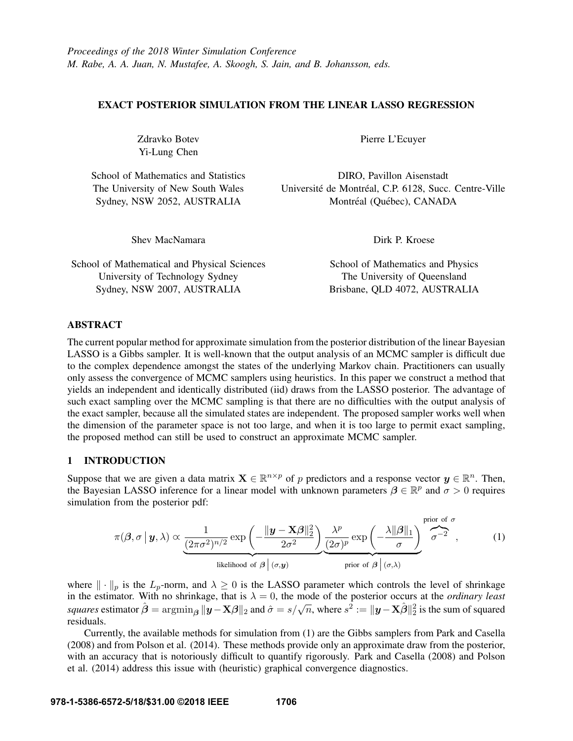## EXACT POSTERIOR SIMULATION FROM THE LINEAR LASSO REGRESSION

Zdravko Botev Yi-Lung Chen

School of Mathematics and Statistics The University of New South Wales Sydney, NSW 2052, AUSTRALIA

Shev MacNamara

Pierre L'Ecuyer

DIRO, Pavillon Aisenstadt Université de Montréal, C.P. 6128, Succ. Centre-Ville Montréal (Québec), CANADA

Dirk P. Kroese

School of Mathematical and Physical Sciences University of Technology Sydney Sydney, NSW 2007, AUSTRALIA

School of Mathematics and Physics The University of Queensland Brisbane, QLD 4072, AUSTRALIA

## ABSTRACT

The current popular method for approximate simulation from the posterior distribution of the linear Bayesian LASSO is a Gibbs sampler. It is well-known that the output analysis of an MCMC sampler is difficult due to the complex dependence amongst the states of the underlying Markov chain. Practitioners can usually only assess the convergence of MCMC samplers using heuristics. In this paper we construct a method that yields an independent and identically distributed (iid) draws from the LASSO posterior. The advantage of such exact sampling over the MCMC sampling is that there are no difficulties with the output analysis of the exact sampler, because all the simulated states are independent. The proposed sampler works well when the dimension of the parameter space is not too large, and when it is too large to permit exact sampling, the proposed method can still be used to construct an approximate MCMC sampler.

#### 1 INTRODUCTION

Suppose that we are given a data matrix  $\mathbf{X} \in \mathbb{R}^{n \times p}$  of p predictors and a response vector  $y \in \mathbb{R}^n$ . Then, the Bayesian LASSO inference for a linear model with unknown parameters  $\beta \in \mathbb{R}^p$  and  $\sigma > 0$  requires simulation from the posterior pdf:

$$
\pi(\boldsymbol{\beta},\sigma\,|\,\mathbf{y},\lambda) \propto \underbrace{\frac{1}{(2\pi\sigma^2)^{n/2}}\exp\left(-\frac{\|\mathbf{y}-\mathbf{X}\boldsymbol{\beta}\|_2^2}{2\sigma^2}\right)}_{\text{likelihood of }\boldsymbol{\beta}\,|\,(\sigma,\mathbf{y})}\underbrace{\frac{\lambda^p}{(2\sigma)^p}\exp\left(-\frac{\lambda\|\boldsymbol{\beta}\|_1}{\sigma}\right)}_{\text{prior of }\boldsymbol{\beta}\,|\,(\sigma,\lambda)}\underbrace{\frac{\text{prior of }\sigma}{\sigma^{-2}}}_{\text{prior of }\boldsymbol{\beta}\,|\,(\sigma,\lambda)},\tag{1}
$$

where  $\|\cdot\|_p$  is the  $L_p$ -norm, and  $\lambda \geq 0$  is the LASSO parameter which controls the level of shrinkage in the estimator. With no shrinkage, that is  $\lambda = 0$ , the mode of the posterior occurs at the *ordinary least squares* estimator  $\hat{\boldsymbol{\beta}} = \arg\min_{\boldsymbol{\beta}} ||\mathbf{y} - \mathbf{X}\boldsymbol{\beta}||_2$  and  $\hat{\sigma} = s/\sqrt{n}$ , where  $s^2 := ||\mathbf{y} - \mathbf{X}\hat{\boldsymbol{\beta}}||_2^2$  is the sum of squared residuals.

Currently, the available methods for simulation from (1) are the Gibbs samplers from Park and Casella (2008) and from Polson et al. (2014). These methods provide only an approximate draw from the posterior, with an accuracy that is notoriously difficult to quantify rigorously. Park and Casella (2008) and Polson et al. (2014) address this issue with (heuristic) graphical convergence diagnostics.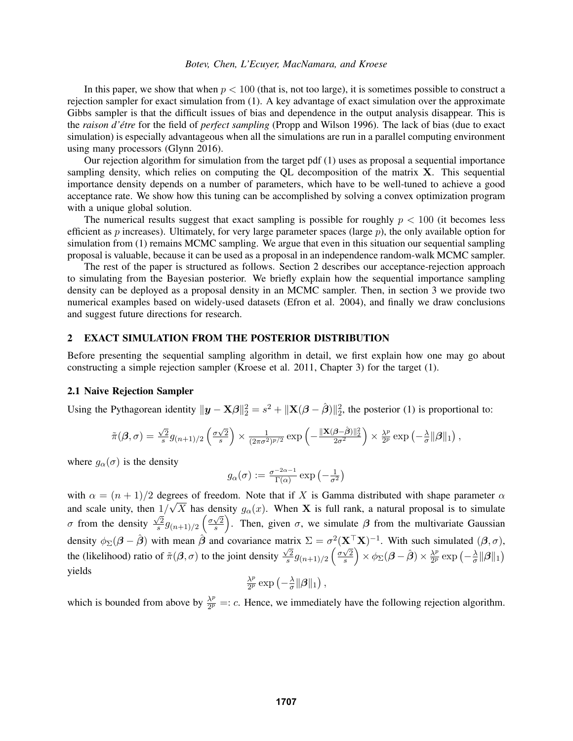#### *Botev, Chen, L'Ecuyer, MacNamara, and Kroese*

In this paper, we show that when  $p < 100$  (that is, not too large), it is sometimes possible to construct a rejection sampler for exact simulation from (1). A key advantage of exact simulation over the approximate Gibbs sampler is that the difficult issues of bias and dependence in the output analysis disappear. This is the *raison d'être* for the field of *perfect sampling* (Propp and Wilson 1996). The lack of bias (due to exact simulation) is especially advantageous when all the simulations are run in a parallel computing environment using many processors (Glynn 2016).

Our rejection algorithm for simulation from the target pdf (1) uses as proposal a sequential importance sampling density, which relies on computing the QL decomposition of the matrix  $X$ . This sequential importance density depends on a number of parameters, which have to be well-tuned to achieve a good acceptance rate. We show how this tuning can be accomplished by solving a convex optimization program with a unique global solution.

The numerical results suggest that exact sampling is possible for roughly  $p < 100$  (it becomes less efficient as p increases). Ultimately, for very large parameter spaces (large  $p$ ), the only available option for simulation from (1) remains MCMC sampling. We argue that even in this situation our sequential sampling proposal is valuable, because it can be used as a proposal in an independence random-walk MCMC sampler.

The rest of the paper is structured as follows. Section 2 describes our acceptance-rejection approach to simulating from the Bayesian posterior. We briefly explain how the sequential importance sampling density can be deployed as a proposal density in an MCMC sampler. Then, in section 3 we provide two numerical examples based on widely-used datasets (Efron et al. 2004), and finally we draw conclusions and suggest future directions for research.

#### 2 EXACT SIMULATION FROM THE POSTERIOR DISTRIBUTION

Before presenting the sequential sampling algorithm in detail, we first explain how one may go about constructing a simple rejection sampler (Kroese et al. 2011, Chapter 3) for the target (1).

## 2.1 Naive Rejection Sampler

Using the Pythagorean identity  $\|\mathbf{y} - \mathbf{X}\boldsymbol{\beta}\|_2^2 = s^2 + \|\mathbf{X}(\boldsymbol{\beta} - \hat{\boldsymbol{\beta}})\|_2^2$ , the posterior (1) is proportional to:

$$
\tilde{\pi}(\boldsymbol{\beta},\sigma) = \tfrac{\sqrt{2}}{s} g_{(n+1)/2} \left( \tfrac{\sigma\sqrt{2}}{s} \right) \times \tfrac{1}{(2\pi\sigma^2)^{p/2}} \exp\left(-\tfrac{\|\mathbf{X}(\boldsymbol{\beta}-\hat{\boldsymbol{\beta}})\|_2^2}{2\sigma^2}\right) \times \tfrac{\lambda^p}{2^p} \exp\left(-\tfrac{\lambda}{\sigma}\|\boldsymbol{\beta}\|_1\right),
$$

where  $g_{\alpha}(\sigma)$  is the density

$$
g_\alpha(\sigma):=\tfrac{\sigma^{-2\alpha-1}}{\Gamma(\alpha)}\exp\left(-\tfrac{1}{\sigma^2}\right)
$$

with  $\alpha = (n+1)/2$  degrees of freedom. Note that if X is Gamma distributed with shape parameter  $\alpha$ and scale unity, then  $1/\sqrt{X}$  has density  $g_{\alpha}(x)$ . When **X** is full rank, a natural proposal is to simulate  $\sigma$  from the density  $\sqrt{2}$  $\frac{\sqrt{2}}{s}g_{(n+1)/2} \left(\frac{\sigma\sqrt{2}}{s}\right)$  $\left(\frac{\sqrt{2}}{s}\right)$ . Then, given  $\sigma$ , we simulate  $\beta$  from the multivariate Gaussian density  $\phi_{\Sigma}(\beta - \hat{\beta})$  with mean  $\hat{\beta}$  and covariance matrix  $\Sigma = \sigma^2 (\mathbf{X}^T \mathbf{X})^{-1}$ . With such simulated  $(\beta, \sigma)$ , the (likelihood) ratio of  $\tilde{\pi}(\beta, \sigma)$  to the joint density  $\frac{1}{\sqrt{2}}$  $\frac{\sqrt{2}}{s}g_{(n+1)/2}\left(\frac{\sigma\sqrt{2}}{s}\right)$  $\frac{\sqrt{2}}{s}\Big)\times\phi_{\Sigma}(\boldsymbol{\beta}-\hat{\boldsymbol{\beta}})\times\frac{\lambda^{p}}{2^{p}}$  $\frac{\lambda^p}{2^p}$  exp  $\left(-\frac{\lambda}{\sigma}\right)$  $\frac{\lambda}{\sigma} \|\boldsymbol{\beta}\|_1$ yields p

$$
\tfrac{\lambda^p}{2^p}\exp\left(-\tfrac{\lambda}{\sigma}\|\boldsymbol{\beta}\|_1\right),
$$

which is bounded from above by  $\frac{\lambda^p}{2p}$  $\frac{\lambda^p}{2^p}$  =: c. Hence, we immediately have the following rejection algorithm.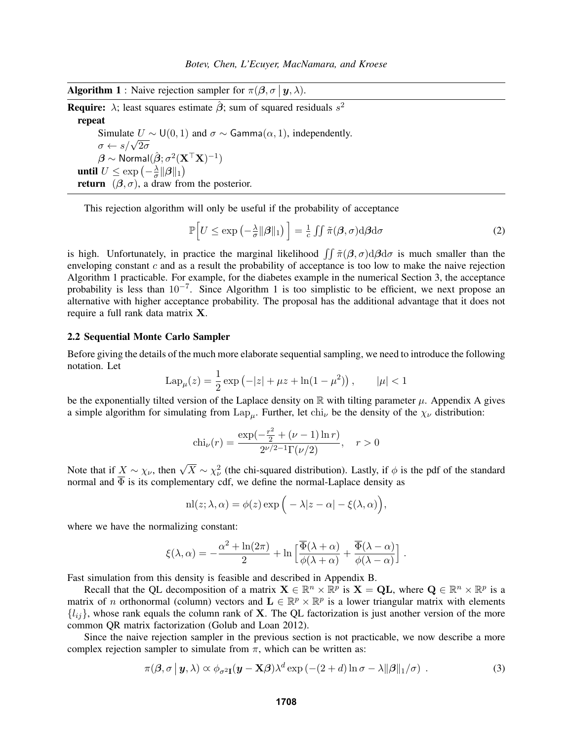**Algorithm 1** : Naive rejection sampler for  $\pi(\beta, \sigma | y, \lambda)$ .

**Require:**  $\lambda$ ; least squares estimate  $\hat{\boldsymbol{\beta}}$ ; sum of squared residuals  $s^2$ repeat Simulate  $U \sim U(0, 1)$  and  $\sigma \sim$  Gamma $(\alpha, 1)$ , independently. Simulate  $\overline{0}$ <br>  $\sigma \leftarrow s/\sqrt{2\sigma}$ 

 $\boldsymbol{\beta} \sim \mathsf{Normal}(\hat{\boldsymbol{\beta}}; \sigma^2 (\mathbf{X}^{\top}\mathbf{X})^{-1})$ until  $U \leq \exp\left(-\frac{\lambda}{\sigma}\right)$  $\frac{\lambda}{\sigma} \|\boldsymbol{\beta}\|_1 \big)$ **return**  $(\beta, \sigma)$ , a draw from the posterior.

This rejection algorithm will only be useful if the probability of acceptance

$$
\mathbb{P}\Big[U \leq \exp\left(-\frac{\lambda}{\sigma} \|\boldsymbol{\beta}\|_1\right) \Big] = \frac{1}{c} \iint \tilde{\pi}(\boldsymbol{\beta}, \sigma) \mathrm{d}\boldsymbol{\beta} \mathrm{d}\sigma \tag{2}
$$

is high. Unfortunately, in practice the marginal likelihood  $\int \tilde{\pi}(\beta, \sigma) d\beta d\sigma$  is much smaller than the enveloping constant c and as a result the probability of acceptance is too low to make the naive rejection Algorithm 1 practicable. For example, for the diabetes example in the numerical Section 3, the acceptance probability is less than 10<sup>-7</sup>. Since Algorithm 1 is too simplistic to be efficient, we next propose an alternative with higher acceptance probability. The proposal has the additional advantage that it does not require a full rank data matrix X.

### 2.2 Sequential Monte Carlo Sampler

Before giving the details of the much more elaborate sequential sampling, we need to introduce the following notation. Let

$$
Lap_{\mu}(z) = \frac{1}{2} \exp(-|z| + \mu z + \ln(1 - \mu^2)), \qquad |\mu| < 1
$$

be the exponentially tilted version of the Laplace density on  $\mathbb R$  with tilting parameter  $\mu$ . Appendix A gives a simple algorithm for simulating from Lap<sub> $\mu$ </sub>. Further, let chi<sub>v</sub> be the density of the  $\chi_{\nu}$  distribution:

$$
chi_{\nu}(r) = \frac{\exp(-\frac{r^2}{2} + (\nu - 1)\ln r)}{2^{\nu/2 - 1}\Gamma(\nu/2)}, \quad r > 0
$$

Note that if  $\underline{X} \sim \chi_{\nu}$ , then  $\sqrt{X} \sim \chi_{\nu}^2$  (the chi-squared distribution). Lastly, if  $\phi$  is the pdf of the standard normal and  $\Phi$  is its complementary cdf, we define the normal-Laplace density as

$$
nl(z; \lambda, \alpha) = \phi(z) \exp\Big(-\lambda |z - \alpha| - \xi(\lambda, \alpha)\Big),
$$

where we have the normalizing constant:

$$
\xi(\lambda,\alpha) = -\frac{\alpha^2 + \ln(2\pi)}{2} + \ln\left[\frac{\overline{\Phi}(\lambda+\alpha)}{\phi(\lambda+\alpha)} + \frac{\overline{\Phi}(\lambda-\alpha)}{\phi(\lambda-\alpha)}\right]
$$

Fast simulation from this density is feasible and described in Appendix B.

Recall that the QL decomposition of a matrix  $X \in \mathbb{R}^n \times \mathbb{R}^p$  is  $X = QL$ , where  $Q \in \mathbb{R}^n \times \mathbb{R}^p$  is a matrix of *n* orthonormal (column) vectors and  $\mathbf{L} \in \mathbb{R}^p \times \mathbb{R}^p$  is a lower triangular matrix with elements  ${l_{ij}}$ , whose rank equals the column rank of **X**. The QL factorization is just another version of the more common QR matrix factorization (Golub and Loan 2012).

Since the naive rejection sampler in the previous section is not practicable, we now describe a more complex rejection sampler to simulate from  $\pi$ , which can be written as:

$$
\pi(\boldsymbol{\beta}, \sigma \,|\, \mathbf{y}, \lambda) \propto \phi_{\sigma^2 \mathbf{I}}(\mathbf{y} - \mathbf{X}\boldsymbol{\beta})\lambda^d \exp(-(2+d)\ln \sigma - \lambda \|\boldsymbol{\beta}\|_1/\sigma) \tag{3}
$$

.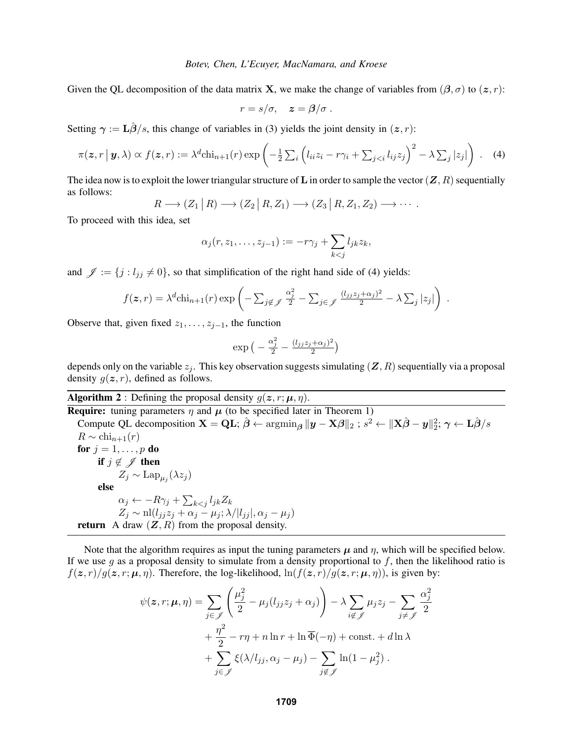Given the QL decomposition of the data matrix **X**, we make the change of variables from  $(\beta, \sigma)$  to  $(z, r)$ :

$$
r = s/\sigma, \quad z = \beta/\sigma.
$$

Setting  $\gamma := \mathbf{L}\hat{\beta}/s$ , this change of variables in (3) yields the joint density in  $(z, r)$ :

$$
\pi(\boldsymbol{z},r\,|\,\boldsymbol{y},\lambda)\propto f(\boldsymbol{z},r):=\lambda^d \text{chi}_{n+1}(r)\exp\left(-\frac{1}{2}\sum_i\left(l_{ii}z_i-r\gamma_i+\sum_{j
$$

The idea now is to exploit the lower triangular structure of L in order to sample the vector  $(Z, R)$  sequentially as follows:

$$
R \longrightarrow (Z_1 | R) \longrightarrow (Z_2 | R, Z_1) \longrightarrow (Z_3 | R, Z_1, Z_2) \longrightarrow \cdots
$$

To proceed with this idea, set

$$
\alpha_j(r, z_1, \ldots, z_{j-1}) := -r\gamma_j + \sum_{k < j} l_{jk} z_k,
$$

and  $\mathscr{J} := \{j : l_{ij} \neq 0\}$ , so that simplification of the right hand side of (4) yields:

$$
f(\boldsymbol{z},r) = \lambda^d \text{chi}_{n+1}(r) \exp\left(-\sum_{j \notin \mathcal{J}} \frac{\alpha_j^2}{2} - \sum_{j \in \mathcal{J}} \frac{(l_{jj}z_j + \alpha_j)^2}{2} - \lambda \sum_j |z_j|\right) .
$$

Observe that, given fixed  $z_1, \ldots, z_{i-1}$ , the function

$$
\exp\big(-\frac{\alpha_j^2}{2} - \frac{(l_{jj}z_j + \alpha_j)^2}{2}\big)
$$

depends only on the variable  $z_j$ . This key observation suggests simulating  $(Z, R)$  sequentially via a proposal density  $q(z, r)$ , defined as follows.

**Algorithm 2** : Defining the proposal density  $g(z, r; \mu, \eta)$ .

**Require:** tuning parameters  $\eta$  and  $\mu$  (to be specified later in Theorem 1) Compute QL decomposition  $\mathbf{X} = \mathbf{Q}\mathbf{L}$ ;  $\hat{\boldsymbol{\beta}} \leftarrow \operatorname{argmin}_{\boldsymbol{\beta}} ||\boldsymbol{y} - \mathbf{X}\boldsymbol{\beta}||_2$ ;  $s^2 \leftarrow ||\mathbf{X}\hat{\boldsymbol{\beta}} - \boldsymbol{y}||_2^2$ ;  $\gamma \leftarrow \mathbf{L}\hat{\boldsymbol{\beta}}/s$  $R \sim \text{chi}_{n+1}(r)$ for  $j = 1, \ldots, p$  do if  $j \notin \mathscr{J}$  then  $Z_j \sim \text{Lap}_{\mu_j}(\lambda z_j)$ else  $\alpha_j \leftarrow -R\gamma_j + \sum_{k < j} l_{jk} Z_k$  $Z_j \sim \text{nl}(l_{jj}z_j + \alpha_j - \mu_j; \lambda/|l_{jj}|, \alpha_j - \mu_j)$ return A draw  $(Z, R)$  from the proposal density.

Note that the algorithm requires as input the tuning parameters  $\mu$  and  $\eta$ , which will be specified below. If we use g as a proposal density to simulate from a density proportional to  $f$ , then the likelihood ratio is  $f(z, r)/g(z, r; \mu, \eta)$ . Therefore, the log-likelihood,  $\ln(f(z, r)/g(z, r; \mu, \eta))$ , is given by:

$$
\psi(\mathbf{z}, r; \boldsymbol{\mu}, \boldsymbol{\eta}) = \sum_{j \in \mathcal{J}} \left( \frac{\mu_j^2}{2} - \mu_j (l_{jj} z_j + \alpha_j) \right) - \lambda \sum_{i \notin \mathcal{J}} \mu_j z_j - \sum_{j \neq \mathcal{J}} \frac{\alpha_j^2}{2} + \frac{\eta^2}{2} - r\eta + n \ln r + \ln \overline{\Phi}(-\eta) + \text{const.} + d \ln \lambda + \sum_{j \in \mathcal{J}} \xi(\lambda / l_{jj}, \alpha_j - \mu_j) - \sum_{j \notin \mathcal{J}} \ln(1 - \mu_j^2).
$$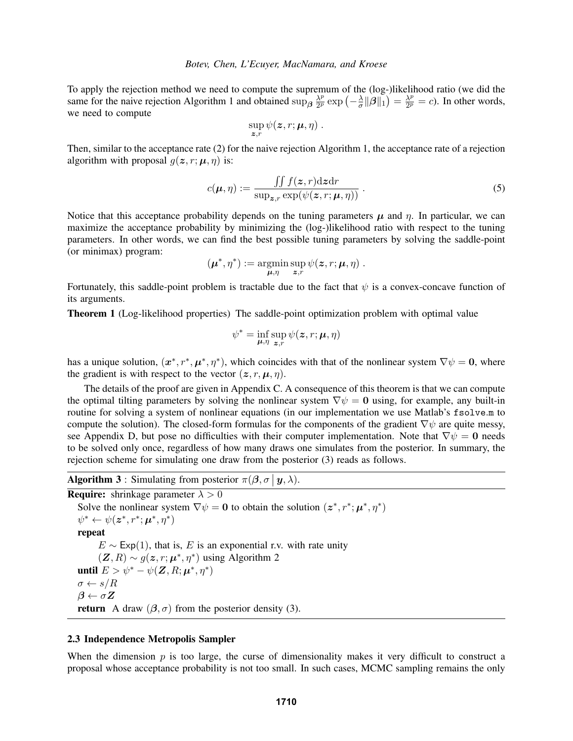To apply the rejection method we need to compute the supremum of the (log-)likelihood ratio (we did the same for the naive rejection Algorithm 1 and obtained sup $\frac{\lambda^p}{2^p}$  $\frac{\lambda^p}{2^p}\exp\left(-\frac{\lambda}{\sigma}\right)$  $\frac{\lambda}{\sigma} \|\boldsymbol{\beta}\|_1$ )  $= \frac{\lambda^p}{2^p}$  $\frac{\lambda^p}{2^p} = c$ ). In other words, we need to compute

$$
\sup_{\boldsymbol{z},r}\psi(\boldsymbol{z},r;\boldsymbol{\mu},\eta)\ .
$$

Then, similar to the acceptance rate (2) for the naive rejection Algorithm 1, the acceptance rate of a rejection algorithm with proposal  $q(z, r; \mu, \eta)$  is:

$$
c(\boldsymbol{\mu}, \eta) := \frac{\iint f(\boldsymbol{z}, r) d\boldsymbol{z} dr}{\sup_{\boldsymbol{z}, r} \exp(\psi(\boldsymbol{z}, r; \boldsymbol{\mu}, \eta))} .
$$
 (5)

Notice that this acceptance probability depends on the tuning parameters  $\mu$  and  $\eta$ . In particular, we can maximize the acceptance probability by minimizing the (log-)likelihood ratio with respect to the tuning parameters. In other words, we can find the best possible tuning parameters by solving the saddle-point (or minimax) program:

$$
(\boldsymbol{\mu}^*,\eta^*) := \operatorname*{argmin}_{\boldsymbol{\mu},\eta} \sup_{\boldsymbol{z},r} \psi(\boldsymbol{z},r;\boldsymbol{\mu},\eta) .
$$

Fortunately, this saddle-point problem is tractable due to the fact that  $\psi$  is a convex-concave function of its arguments.

Theorem 1 (Log-likelihood properties) The saddle-point optimization problem with optimal value

$$
\psi^* = \inf_{\mu,\eta} \sup_{\boldsymbol{z},r} \psi(\boldsymbol{z},r;\boldsymbol{\mu},\eta)
$$

has a unique solution,  $(x^*, r^*, \mu^*, \eta^*)$ , which coincides with that of the nonlinear system  $\nabla \psi = 0$ , where the gradient is with respect to the vector  $(z, r, \mu, \eta)$ .

The details of the proof are given in Appendix C. A consequence of this theorem is that we can compute the optimal tilting parameters by solving the nonlinear system  $\nabla \psi = 0$  using, for example, any built-in routine for solving a system of nonlinear equations (in our implementation we use Matlab's fsolve.m to compute the solution). The closed-form formulas for the components of the gradient  $\nabla \psi$  are quite messy, see Appendix D, but pose no difficulties with their computer implementation. Note that  $\nabla \psi = 0$  needs to be solved only once, regardless of how many draws one simulates from the posterior. In summary, the rejection scheme for simulating one draw from the posterior (3) reads as follows.

**Algorithm 3**: Simulating from posterior  $\pi(\beta, \sigma | y, \lambda)$ .

**Require:** shrinkage parameter  $\lambda > 0$ 

Solve the nonlinear system  $\nabla \psi = \mathbf{0}$  to obtain the solution  $(z^*, r^*; \mu^*, \eta^*)$  $\psi^* \leftarrow \psi(z^*, r^*; \boldsymbol{\mu}^*, \eta^*)$ repeat  $E \sim \text{Exp}(1)$ , that is, E is an exponential r.v. with rate unity  $(Z, R) \sim g(z, r; \mu^*, \eta^*)$  using Algorithm 2 until  $E > \psi^* - \psi(\mathbf{Z}, R; \boldsymbol{\mu}^*, \eta^*)$  $\sigma \leftarrow s/R$  $\beta \leftarrow \sigma Z$ **return** A draw  $(\beta, \sigma)$  from the posterior density (3).

## 2.3 Independence Metropolis Sampler

When the dimension  $p$  is too large, the curse of dimensionality makes it very difficult to construct a proposal whose acceptance probability is not too small. In such cases, MCMC sampling remains the only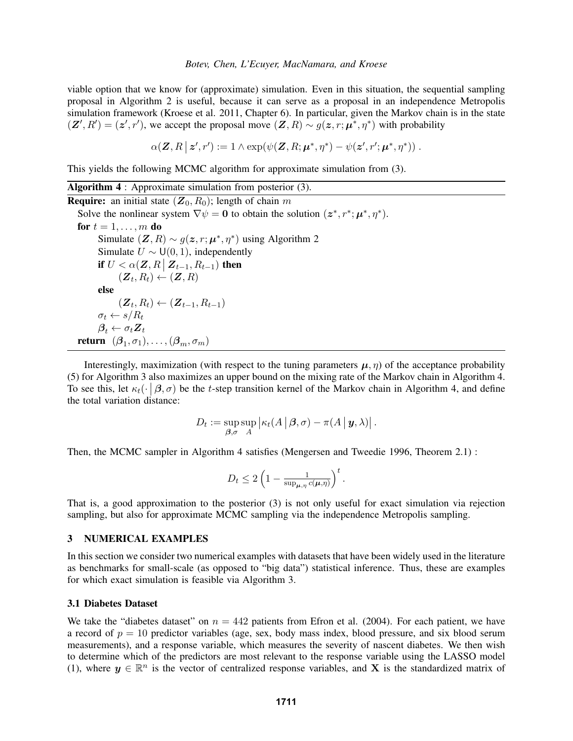viable option that we know for (approximate) simulation. Even in this situation, the sequential sampling proposal in Algorithm 2 is useful, because it can serve as a proposal in an independence Metropolis simulation framework (Kroese et al. 2011, Chapter 6). In particular, given the Markov chain is in the state  $(\mathbf{Z}', R') = (\mathbf{z}', r')$ , we accept the proposal move  $(\mathbf{Z}, R) \sim g(\mathbf{z}, r; \mu^*, \eta^*)$  with probability

$$
\alpha(\mathbf{Z}, R \,|\, \mathbf{z}', r') := 1 \wedge \exp(\psi(\mathbf{Z}, R; \boldsymbol{\mu}^*, \eta^*) - \psi(\mathbf{z}', r'; \boldsymbol{\mu}^*, \eta^*))\,.
$$

This yields the following MCMC algorithm for approximate simulation from (3).

Algorithm 4 : Approximate simulation from posterior (3). **Require:** an initial state  $(Z_0, R_0)$ ; length of chain m Solve the nonlinear system  $\nabla \psi = \mathbf{0}$  to obtain the solution  $(z^*, r^*; \mu^*, \eta^*).$ for  $t = 1, \ldots, m$  do Simulate  $(\mathbf{Z}, R) \sim g(\mathbf{z}, r; \boldsymbol{\mu}^*, \eta^*)$  using Algorithm 2 Simulate  $U \sim U(0, 1)$ , independently if  $U < \alpha(\mathbf{Z}, R \mid \mathbf{Z}_{t-1}, R_{t-1})$  then  $(\boldsymbol{Z}_t, R_t) \leftarrow (\boldsymbol{Z}, R)$ else  $(Z_t, R_t) \leftarrow (Z_{t-1}, R_{t-1})$  $\sigma_t \leftarrow s/R_t$  $\beta_t \leftarrow \sigma_t \mathbf{Z}_t$ **return**  $(\boldsymbol{\beta}_1, \sigma_1), \ldots, (\boldsymbol{\beta}_m, \sigma_m)$ 

Interestingly, maximization (with respect to the tuning parameters  $\mu$ ,  $\eta$ ) of the acceptance probability (5) for Algorithm 3 also maximizes an upper bound on the mixing rate of the Markov chain in Algorithm 4. To see this, let  $\kappa_t(\cdot|\beta,\sigma)$  be the t-step transition kernel of the Markov chain in Algorithm 4, and define the total variation distance:

$$
D_t := \sup_{\boldsymbol{\beta}, \sigma} \sup_A \left| \kappa_t(A \,|\, \boldsymbol{\beta}, \sigma) - \pi(A \,|\, \boldsymbol{y}, \lambda) \right|.
$$

Then, the MCMC sampler in Algorithm 4 satisfies (Mengersen and Tweedie 1996, Theorem 2.1) :

$$
D_t \leq 2\left(1 - \frac{1}{\sup_{\boldsymbol{\mu}, \eta} c(\boldsymbol{\mu}, \eta)}\right)^t.
$$

That is, a good approximation to the posterior (3) is not only useful for exact simulation via rejection sampling, but also for approximate MCMC sampling via the independence Metropolis sampling.

#### 3 NUMERICAL EXAMPLES

In this section we consider two numerical examples with datasets that have been widely used in the literature as benchmarks for small-scale (as opposed to "big data") statistical inference. Thus, these are examples for which exact simulation is feasible via Algorithm 3.

### 3.1 Diabetes Dataset

We take the "diabetes dataset" on  $n = 442$  patients from Efron et al. (2004). For each patient, we have a record of  $p = 10$  predictor variables (age, sex, body mass index, blood pressure, and six blood serum measurements), and a response variable, which measures the severity of nascent diabetes. We then wish to determine which of the predictors are most relevant to the response variable using the LASSO model (1), where  $y \in \mathbb{R}^n$  is the vector of centralized response variables, and X is the standardized matrix of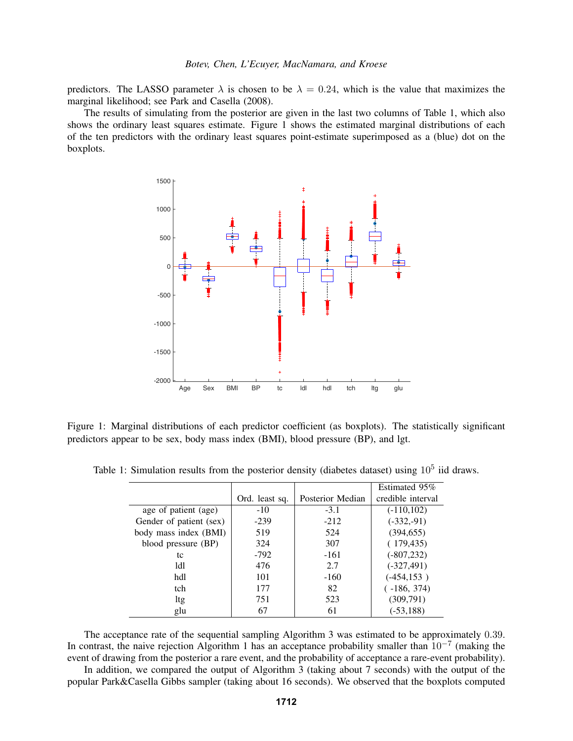predictors. The LASSO parameter  $\lambda$  is chosen to be  $\lambda = 0.24$ , which is the value that maximizes the marginal likelihood; see Park and Casella (2008).

The results of simulating from the posterior are given in the last two columns of Table 1, which also shows the ordinary least squares estimate. Figure 1 shows the estimated marginal distributions of each of the ten predictors with the ordinary least squares point-estimate superimposed as a (blue) dot on the boxplots.



Figure 1: Marginal distributions of each predictor coefficient (as boxplots). The statistically significant predictors appear to be sex, body mass index (BMI), blood pressure (BP), and lgt.

|                         |                |                  | Estimated 95%     |
|-------------------------|----------------|------------------|-------------------|
|                         | Ord. least sq. | Posterior Median | credible interval |
| age of patient (age)    | $-10$          | $-3.1$           | $(-110,102)$      |
| Gender of patient (sex) | $-239$         | $-212$           | $(-332,-91)$      |
| body mass index (BMI)   | 519            | 524              | (394, 655)        |
| blood pressure (BP)     | 324            | 307              | (179, 435)        |
| tc                      | $-792$         | $-161$           | $(-807, 232)$     |
| 1d1                     | 476            | 2.7              | $(-327, 491)$     |
| hdl                     | 101            | $-160$           | $(-454, 153)$     |
| tch                     | 177            | 82               | $(-186, 374)$     |
| ltg                     | 751            | 523              | (309,791)         |
| glu                     | 67             | 61               | $(-53, 188)$      |

Table 1: Simulation results from the posterior density (diabetes dataset) using  $10^5$  iid draws.

The acceptance rate of the sequential sampling Algorithm 3 was estimated to be approximately 0.39. In contrast, the naive rejection Algorithm 1 has an acceptance probability smaller than  $10^{-7}$  (making the event of drawing from the posterior a rare event, and the probability of acceptance a rare-event probability).

In addition, we compared the output of Algorithm 3 (taking about 7 seconds) with the output of the popular Park&Casella Gibbs sampler (taking about 16 seconds). We observed that the boxplots computed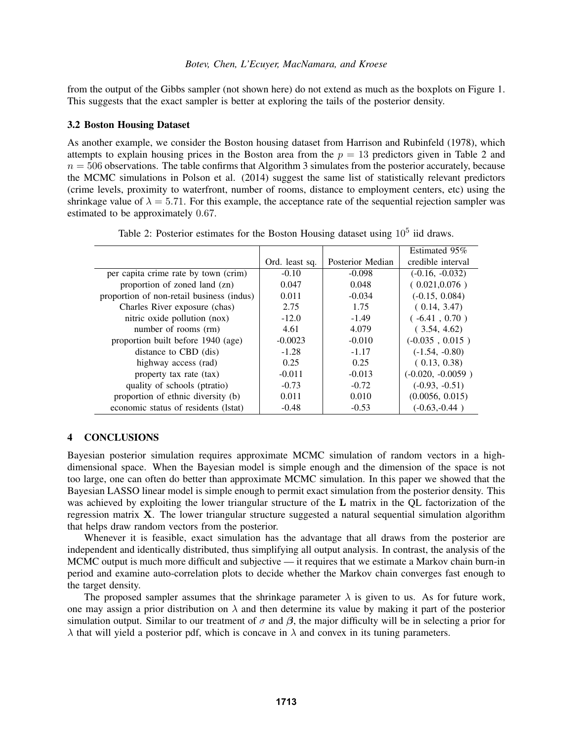from the output of the Gibbs sampler (not shown here) do not extend as much as the boxplots on Figure 1. This suggests that the exact sampler is better at exploring the tails of the posterior density.

## 3.2 Boston Housing Dataset

As another example, we consider the Boston housing dataset from Harrison and Rubinfeld (1978), which attempts to explain housing prices in the Boston area from the  $p = 13$  predictors given in Table 2 and  $n = 506$  observations. The table confirms that Algorithm 3 simulates from the posterior accurately, because the MCMC simulations in Polson et al. (2014) suggest the same list of statistically relevant predictors (crime levels, proximity to waterfront, number of rooms, distance to employment centers, etc) using the shrinkage value of  $\lambda = 5.71$ . For this example, the acceptance rate of the sequential rejection sampler was estimated to be approximately 0.67.

|                                           |                |                  | Estimated 95%       |
|-------------------------------------------|----------------|------------------|---------------------|
|                                           | Ord. least sq. | Posterior Median | credible interval   |
| per capita crime rate by town (crim)      | $-0.10$        | $-0.098$         | $(-0.16, -0.032)$   |
| proportion of zoned land (zn)             | 0.047          | 0.048            | (0.021, 0.076)      |
| proportion of non-retail business (indus) | 0.011          | $-0.034$         | $(-0.15, 0.084)$    |
| Charles River exposure (chas)             | 2.75           | 1.75             | (0.14, 3.47)        |
| nitric oxide pollution (nox)              | $-12.0$        | $-1.49$          | $(-6.41, 0.70)$     |
| number of rooms (rm)                      | 4.61           | 4.079            | (3.54, 4.62)        |
| proportion built before 1940 (age)        | $-0.0023$      | $-0.010$         | $(-0.035, 0.015)$   |
| distance to CBD (dis)                     | $-1.28$        | $-1.17$          | $(-1.54, -0.80)$    |
| highway access (rad)                      | 0.25           | 0.25             | (0.13, 0.38)        |
| property tax rate (tax)                   | $-0.011$       | $-0.013$         | $(-0.020, -0.0059)$ |
| quality of schools (ptratio)              | $-0.73$        | $-0.72$          | $(-0.93, -0.51)$    |
| proportion of ethnic diversity (b)        | 0.011          | 0.010            | (0.0056, 0.015)     |
| economic status of residents (1stat)      | $-0.48$        | $-0.53$          | $(-0.63,-0.44)$     |

Table 2: Posterior estimates for the Boston Housing dataset using  $10^5$  iid draws.

# 4 CONCLUSIONS

Bayesian posterior simulation requires approximate MCMC simulation of random vectors in a highdimensional space. When the Bayesian model is simple enough and the dimension of the space is not too large, one can often do better than approximate MCMC simulation. In this paper we showed that the Bayesian LASSO linear model is simple enough to permit exact simulation from the posterior density. This was achieved by exploiting the lower triangular structure of the L matrix in the QL factorization of the regression matrix X. The lower triangular structure suggested a natural sequential simulation algorithm that helps draw random vectors from the posterior.

Whenever it is feasible, exact simulation has the advantage that all draws from the posterior are independent and identically distributed, thus simplifying all output analysis. In contrast, the analysis of the MCMC output is much more difficult and subjective — it requires that we estimate a Markov chain burn-in period and examine auto-correlation plots to decide whether the Markov chain converges fast enough to the target density.

The proposed sampler assumes that the shrinkage parameter  $\lambda$  is given to us. As for future work, one may assign a prior distribution on  $\lambda$  and then determine its value by making it part of the posterior simulation output. Similar to our treatment of  $\sigma$  and  $\beta$ , the major difficulty will be in selecting a prior for  $\lambda$  that will yield a posterior pdf, which is concave in  $\lambda$  and convex in its tuning parameters.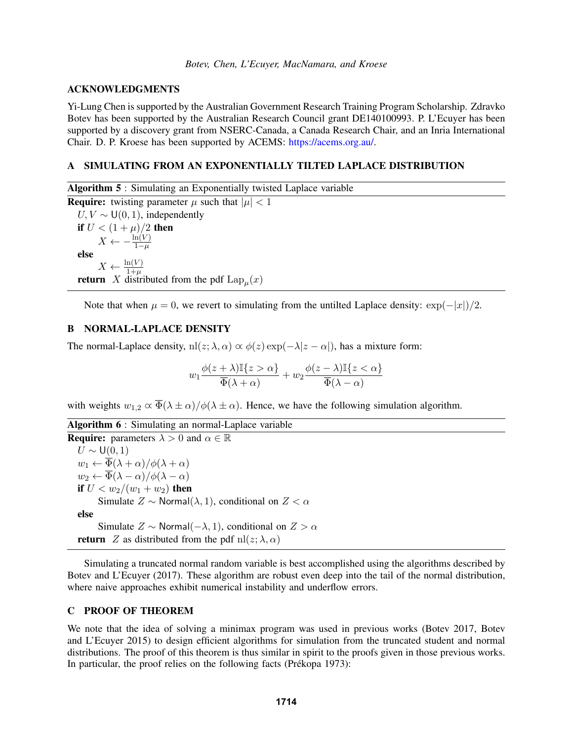## ACKNOWLEDGMENTS

Yi-Lung Chen is supported by the Australian Government Research Training Program Scholarship. Zdravko Botev has been supported by the Australian Research Council grant DE140100993. P. L'Ecuyer has been supported by a discovery grant from NSERC-Canada, a Canada Research Chair, and an Inria International Chair. D. P. Kroese has been supported by ACEMS: https://acems.org.au/.

## A SIMULATING FROM AN EXPONENTIALLY TILTED LAPLACE DISTRIBUTION

Algorithm 5 : Simulating an Exponentially twisted Laplace variable **Require:** twisting parameter  $\mu$  such that  $|\mu| < 1$  $U, V \sim U(0, 1)$ , independently if  $U < (1 + \mu)/2$  then  $X \leftarrow -\frac{\ln(V)}{1-\mu}$ else  $X \leftarrow \frac{\ln(V)}{1+\mu}$ <br>**return** X distributed from the pdf  $\text{Lap}_{\mu}(x)$ 

Note that when  $\mu = 0$ , we revert to simulating from the untilted Laplace density:  $\exp(-|x|)/2$ .

# B NORMAL-LAPLACE DENSITY

The normal-Laplace density,  $\text{nl}(z; \lambda, \alpha) \propto \phi(z) \exp(-\lambda |z - \alpha|)$ , has a mixture form:

$$
w_1\frac{\phi(z+\lambda)\mathbb{I}\{z>\alpha\}}{\overline{\Phi}(\lambda+\alpha)}+w_2\frac{\phi(z-\lambda)\mathbb{I}\{z<\alpha\}}{\overline{\Phi}(\lambda-\alpha)}
$$

with weights  $w_{1,2} \propto \overline{\Phi}(\lambda \pm \alpha)/\phi(\lambda \pm \alpha)$ . Hence, we have the following simulation algorithm.

|  |  |  |  | Algorithm 6 : Simulating an normal-Laplace variable |  |
|--|--|--|--|-----------------------------------------------------|--|
|--|--|--|--|-----------------------------------------------------|--|

**Require:** parameters  $\lambda > 0$  and  $\alpha \in \mathbb{R}$  $U \sim U(0, 1)$  $w_1 \leftarrow \overline{\Phi}(\lambda + \alpha) / \phi(\lambda + \alpha)$  $w_2 \leftarrow \overline{\Phi}(\lambda - \alpha)/\phi(\lambda - \alpha)$ if  $U < w_2/(w_1 + w_2)$  then Simulate  $Z \sim \text{Normal}(\lambda, 1)$ , conditional on  $Z < \alpha$ else Simulate  $Z \sim \text{Normal}(-\lambda, 1)$ , conditional on  $Z > \alpha$ **return** Z as distributed from the pdf nl(z;  $\lambda$ ,  $\alpha$ )

Simulating a truncated normal random variable is best accomplished using the algorithms described by Botev and L'Ecuyer (2017). These algorithm are robust even deep into the tail of the normal distribution, where naive approaches exhibit numerical instability and underflow errors.

#### C PROOF OF THEOREM

We note that the idea of solving a minimax program was used in previous works (Botev 2017, Botev and L'Ecuyer 2015) to design efficient algorithms for simulation from the truncated student and normal distributions. The proof of this theorem is thus similar in spirit to the proofs given in those previous works. In particular, the proof relies on the following facts (Prékopa 1973):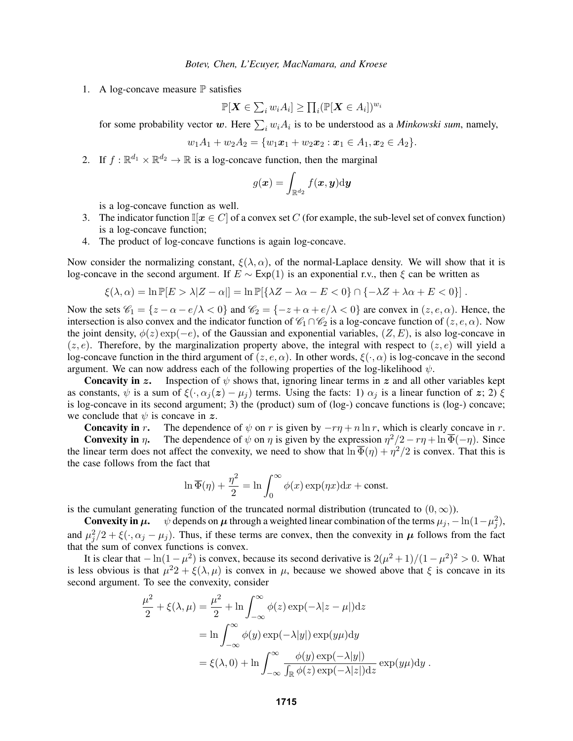1. A log-concave measure  $\mathbb P$  satisfies

$$
\mathbb{P}[\boldsymbol{X} \in \sum_{i} w_i A_i] \geq \prod_i (\mathbb{P}[\boldsymbol{X} \in A_i])^{w_i}
$$

for some probability vector w. Here  $\sum_i w_i A_i$  is to be understood as a *Minkowski sum*, namely,

$$
w_1A_1+w_2A_2=\{w_1x_1+w_2x_2:x_1\in A_1, x_2\in A_2\}.
$$

2. If  $f : \mathbb{R}^{d_1} \times \mathbb{R}^{d_2} \to \mathbb{R}$  is a log-concave function, then the marginal

$$
g(\boldsymbol{x}) = \int_{\mathbb{R}^{d_2}} f(\boldsymbol{x},\boldsymbol{y}) \mathrm{d} \boldsymbol{y}
$$

is a log-concave function as well.

- 3. The indicator function  $\mathbb{I}[x \in C]$  of a convex set C (for example, the sub-level set of convex function) is a log-concave function;
- 4. The product of log-concave functions is again log-concave.

Now consider the normalizing constant,  $\xi(\lambda, \alpha)$ , of the normal-Laplace density. We will show that it is log-concave in the second argument. If  $E \sim Exp(1)$  is an exponential r.v., then  $\xi$  can be written as

$$
\xi(\lambda,\alpha)=\ln\mathbb{P}[E>\lambda|Z-\alpha|]=\ln\mathbb{P}[\{\lambda Z-\lambda\alpha-E<0\}\cap\{-\lambda Z+\lambda\alpha+E<0\}].
$$

Now the sets  $\mathcal{C}_1 = \{z - \alpha - e/\lambda < 0\}$  and  $\mathcal{C}_2 = \{-z + \alpha + e/\lambda < 0\}$  are convex in  $(z, e, \alpha)$ . Hence, the intersection is also convex and the indicator function of  $\mathcal{C}_1 \cap \mathcal{C}_2$  is a log-concave function of  $(z, e, \alpha)$ . Now the joint density,  $\phi(z) \exp(-e)$ , of the Gaussian and exponential variables,  $(Z, E)$ , is also log-concave in  $(z, e)$ . Therefore, by the marginalization property above, the integral with respect to  $(z, e)$  will yield a log-concave function in the third argument of  $(z, e, \alpha)$ . In other words,  $\xi(\cdot, \alpha)$  is log-concave in the second argument. We can now address each of the following properties of the log-likelihood  $\psi$ .

**Concavity in z.** Inspection of  $\psi$  shows that, ignoring linear terms in z and all other variables kept as constants,  $\psi$  is a sum of  $\xi(\cdot, \alpha_i(z) - \mu_i)$  terms. Using the facts: 1)  $\alpha_i$  is a linear function of z; 2)  $\xi$ is log-concave in its second argument; 3) the (product) sum of (log-) concave functions is (log-) concave; we conclude that  $\psi$  is concave in z.

**Concavity in r.** The dependence of  $\psi$  on r is given by  $-r\eta + n \ln r$ , which is clearly concave in r.

**Convexity in**  $\eta$ . The dependence of  $\psi$  on  $\eta$  is given by the expression  $\eta^2/2 - r\eta + \ln \overline{\Phi}(-\eta)$ . Since the linear term does not affect the convexity, we need to show that  $\ln \overline{\Phi}(\eta) + \eta^2/2$  is convex. That this is the case follows from the fact that

$$
\ln \overline{\Phi}(\eta) + \frac{\eta^2}{2} = \ln \int_0^\infty \phi(x) \exp(\eta x) dx + \text{const.}
$$

is the cumulant generating function of the truncated normal distribution (truncated to  $(0, \infty)$ ).

**Convexity in**  $\mu$ **.**  $\psi$  depends on  $\mu$  through a weighted linear combination of the terms  $\mu_j$ ,  $-\ln(1-\mu_j^2)$ , and  $\mu_j^2/2 + \xi(\cdot, \alpha_j - \mu_j)$ . Thus, if these terms are convex, then the convexity in  $\mu$  follows from the fact that the sum of convex functions is convex.

It is clear that  $-\ln(1-\mu^2)$  is convex, because its second derivative is  $2(\mu^2+1)/(1-\mu^2)^2 > 0$ . What is less obvious is that  $\mu^2 2 + \xi(\lambda, \mu)$  is convex in  $\mu$ , because we showed above that  $\xi$  is concave in its second argument. To see the convexity, consider

$$
\frac{\mu^2}{2} + \xi(\lambda, \mu) = \frac{\mu^2}{2} + \ln \int_{-\infty}^{\infty} \phi(z) \exp(-\lambda |z - \mu|) dz
$$
  
= 
$$
\ln \int_{-\infty}^{\infty} \phi(y) \exp(-\lambda |y|) \exp(y\mu) dy
$$
  
= 
$$
\xi(\lambda, 0) + \ln \int_{-\infty}^{\infty} \frac{\phi(y) \exp(-\lambda |y|)}{\int_{\mathbb{R}} \phi(z) \exp(-\lambda |z|) dz} \exp(y\mu) dy.
$$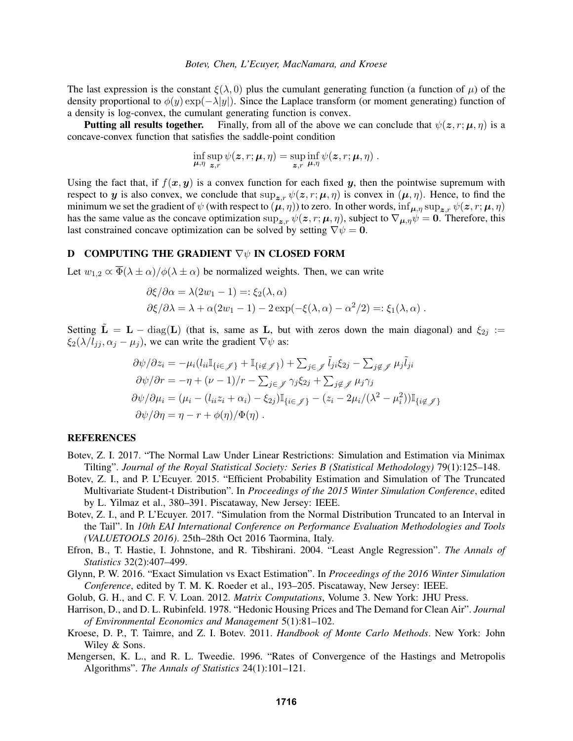The last expression is the constant  $\xi(\lambda, 0)$  plus the cumulant generating function (a function of  $\mu$ ) of the density proportional to  $\phi(y) \exp(-\lambda |y|)$ . Since the Laplace transform (or moment generating) function of a density is log-convex, the cumulant generating function is convex.

**Putting all results together.** Finally, from all of the above we can conclude that  $\psi(z, r; \mu, \eta)$  is a concave-convex function that satisfies the saddle-point condition

$$
\inf_{\boldsymbol{\mu},\eta}\sup_{\boldsymbol{z},r}\psi(\boldsymbol{z},r;\boldsymbol{\mu},\eta)=\sup_{\boldsymbol{z},r}\inf_{\boldsymbol{\mu},\eta}\psi(\boldsymbol{z},r;\boldsymbol{\mu},\eta).
$$

Using the fact that, if  $f(x, y)$  is a convex function for each fixed y, then the pointwise supremum with respect to y is also convex, we conclude that  $\sup_{z,r} \psi(z,r;\mu,\eta)$  is convex in  $(\mu,\eta)$ . Hence, to find the minimum we set the gradient of  $\psi$  (with respect to  $(\mu, \eta)$ ) to zero. In other words,  $\inf_{\mu, \eta} \sup_{z,r} \psi(z, r; \mu, \eta)$ has the same value as the concave optimization  $\sup_{z,r} \psi(z,r;\mu,\eta)$ , subject to  $\nabla_{\mu,\eta} \psi = 0$ . Therefore, this last constrained concave optimization can be solved by setting  $\nabla \psi = 0$ .

## D COMPUTING THE GRADIENT  $\nabla \psi$  IN CLOSED FORM

Let  $w_{1,2} \propto \overline{\Phi}(\lambda \pm \alpha)/\phi(\lambda \pm \alpha)$  be normalized weights. Then, we can write

$$
\partial \xi / \partial \alpha = \lambda (2w_1 - 1) =: \xi_2(\lambda, \alpha)
$$
  

$$
\partial \xi / \partial \lambda = \lambda + \alpha (2w_1 - 1) - 2 \exp(-\xi(\lambda, \alpha) - \alpha^2/2) =: \xi_1(\lambda, \alpha) .
$$

Setting  $\tilde{\bf L} = {\bf L} - \text{diag}({\bf L})$  (that is, same as L, but with zeros down the main diagonal) and  $\xi_{2j}$  :=  $\xi_2(\lambda/l_{jj}, \alpha_j - \mu_j)$ , we can write the gradient  $\nabla \psi$  as:

$$
\partial \psi / \partial z_i = -\mu_i (l_{ii} \mathbb{I}_{\{i \in \mathcal{J}\}} + \mathbb{I}_{\{i \notin \mathcal{J}\}}) + \sum_{j \in \mathcal{J}} \tilde{l}_{ji} \xi_{2j} - \sum_{j \notin \mathcal{J}} \mu_j \tilde{l}_{ji}
$$
  
\n
$$
\partial \psi / \partial r = -\eta + (\nu - 1)/r - \sum_{j \in \mathcal{J}} \gamma_j \xi_{2j} + \sum_{j \notin \mathcal{J}} \mu_j \gamma_j
$$
  
\n
$$
\partial \psi / \partial \mu_i = (\mu_i - (l_{ii} z_i + \alpha_i) - \xi_{2j}) \mathbb{I}_{\{i \in \mathcal{J}\}} - (z_i - 2\mu_i / (\lambda^2 - \mu_i^2)) \mathbb{I}_{\{i \notin \mathcal{J}\}}
$$
  
\n
$$
\partial \psi / \partial \eta = \eta - r + \phi(\eta) / \Phi(\eta).
$$

#### REFERENCES

- Botev, Z. I. 2017. "The Normal Law Under Linear Restrictions: Simulation and Estimation via Minimax Tilting". *Journal of the Royal Statistical Society: Series B (Statistical Methodology)* 79(1):125–148.
- Botev, Z. I., and P. L'Ecuyer. 2015. "Efficient Probability Estimation and Simulation of The Truncated Multivariate Student-t Distribution". In *Proceedings of the 2015 Winter Simulation Conference*, edited by L. Yilmaz et al., 380–391. Piscataway, New Jersey: IEEE.
- Botev, Z. I., and P. L'Ecuyer. 2017. "Simulation from the Normal Distribution Truncated to an Interval in the Tail". In *10th EAI International Conference on Performance Evaluation Methodologies and Tools (VALUETOOLS 2016)*. 25th–28th Oct 2016 Taormina, Italy.
- Efron, B., T. Hastie, I. Johnstone, and R. Tibshirani. 2004. "Least Angle Regression". *The Annals of Statistics* 32(2):407–499.
- Glynn, P. W. 2016. "Exact Simulation vs Exact Estimation". In *Proceedings of the 2016 Winter Simulation Conference*, edited by T. M. K. Roeder et al., 193–205. Piscataway, New Jersey: IEEE.
- Golub, G. H., and C. F. V. Loan. 2012. *Matrix Computations*, Volume 3. New York: JHU Press.
- Harrison, D., and D. L. Rubinfeld. 1978. "Hedonic Housing Prices and The Demand for Clean Air". *Journal of Environmental Economics and Management* 5(1):81–102.
- Kroese, D. P., T. Taimre, and Z. I. Botev. 2011. *Handbook of Monte Carlo Methods*. New York: John Wiley & Sons.
- Mengersen, K. L., and R. L. Tweedie. 1996. "Rates of Convergence of the Hastings and Metropolis Algorithms". *The Annals of Statistics* 24(1):101–121.